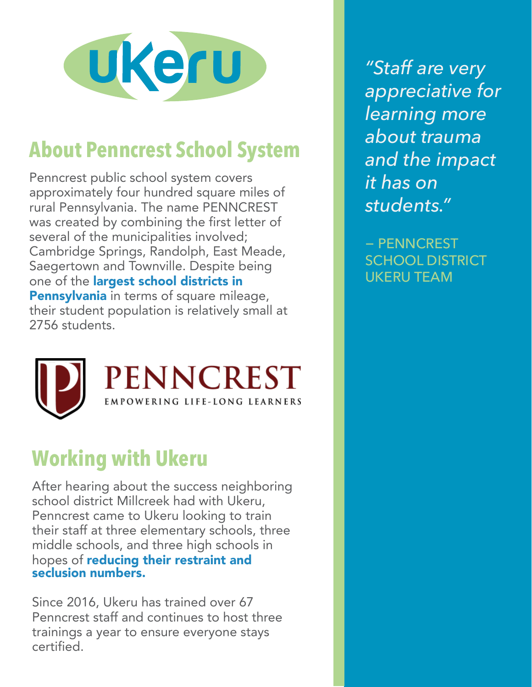

## **About Penncrest School System**

Penncrest public school system covers approximately four hundred square miles of rural Pennsylvania. The name PENNCREST was created by combining the first letter of several of the municipalities involved; Cambridge Springs, Randolph, East Meade, Saegertown and Townville. Despite being one of the **largest school districts in** Pennsylvania in terms of square mileage, their student population is relatively small at 2756 students.



## **Working with Ukeru**

After hearing about the success neighboring school district Millcreek had with Ukeru, Penncrest came to Ukeru looking to train their staff at three elementary schools, three middle schools, and three high schools in hopes of reducing their restraint and seclusion numbers.

Since 2016, Ukeru has trained over 67 Penncrest staff and continues to host three trainings a year to ensure everyone stays certified.

*"Staff are very appreciative for learning more about trauma and the impact it has on students."*

− PENNCREST SCHOOL DISTRICT UKERU TEAM